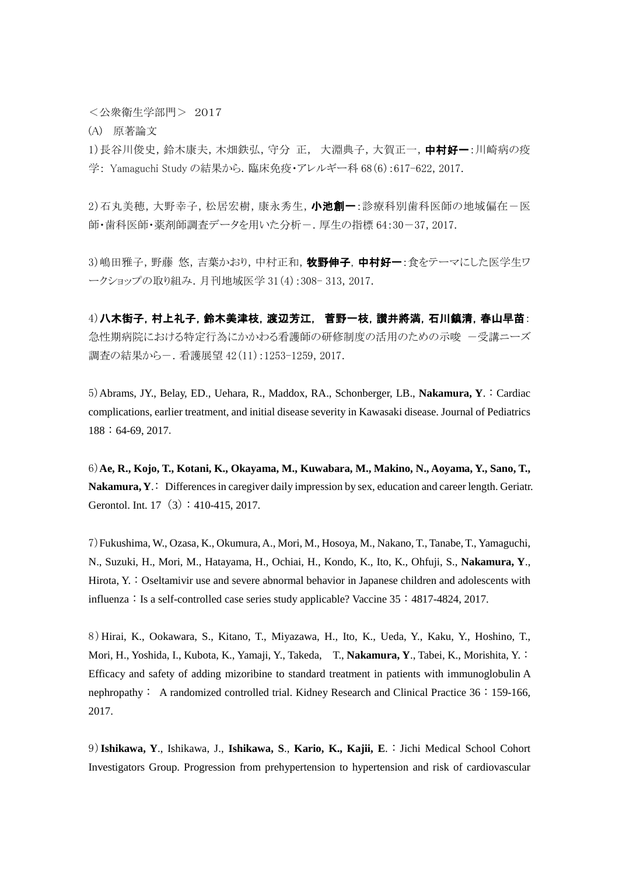<公衆衛生学部門> 2017

(A) 原著論文

1)長谷川俊史,鈴木康夫,木畑鉄弘,守分 正,大淵典子,大賀正一,中村好一:川崎病の疫 学: Yamaguchi Study の結果から.臨床免疫・アレルギー科 68(6):617-622, 2017.

2)石丸美穂,大野幸子,松居宏樹,康永秀生, 小池創一:診療科別歯科医師の地域偏在一医 師・歯科医師・薬剤師調査データを用いた分析-.厚生の指標 64:30-37, 2017.

3)嶋田雅子,野藤 悠,吉葉かおり,中村正和,牧野伸子,中村好一:食をテーマにした医学生ワ ークショップの取り組み.月刊地域医学 31(4):308- 313, 2017.

4)八木街子,村上礼子,鈴木美津枝,渡辺芳江,菅野一枝,讃井將満,石川鎮清,春山早苗: 急性期病院における特定行為にかかわる看護師の研修制度の活用のための示唆 -受講ニーズ 調査の結果から-.看護展望 42(11):1253-1259, 2017.

5)Abrams, JY., Belay, ED., Uehara, R., Maddox, RA., Schonberger, LB., **Nakamura, Y**.:Cardiac complications, earlier treatment, and initial disease severity in Kawasaki disease. Journal of Pediatrics 188:64-69, 2017.

6)**Ae, R., Kojo, T., Kotani, K., Okayama, M., Kuwabara, M., Makino, N., Aoyama, Y., Sano, T., Nakamura, Y.:** Differences in caregiver daily impression by sex, education and career length. Geriatr. Gerontol. Int.  $17(3): 410-415, 2017$ .

7)Fukushima, W., Ozasa, K., Okumura, A., Mori, M., Hosoya, M., Nakano, T., Tanabe, T., Yamaguchi, N., Suzuki, H., Mori, M., Hatayama, H., Ochiai, H., Kondo, K., Ito, K., Ohfuji, S., **Nakamura, Y**., Hirota, Y.: Oseltamivir use and severe abnormal behavior in Japanese children and adolescents with influenza: Is a self-controlled case series study applicable? Vaccine  $35:4817-4824, 2017$ .

8)Hirai, K., Ookawara, S., Kitano, T., Miyazawa, H., Ito, K., Ueda, Y., Kaku, Y., Hoshino, T., Mori, H., Yoshida, I., Kubota, K., Yamaji, Y., Takeda, T., **Nakamura, Y**., Tabei, K., Morishita, Y.: Efficacy and safety of adding mizoribine to standard treatment in patients with immunoglobulin A nephropathy: A randomized controlled trial. Kidney Research and Clinical Practice 36:159-166, 2017.

9)**Ishikawa, Y**., Ishikawa, J., **Ishikawa, S**., **Kario, K., Kajii, E**.:Jichi Medical School Cohort Investigators Group. Progression from prehypertension to hypertension and risk of cardiovascular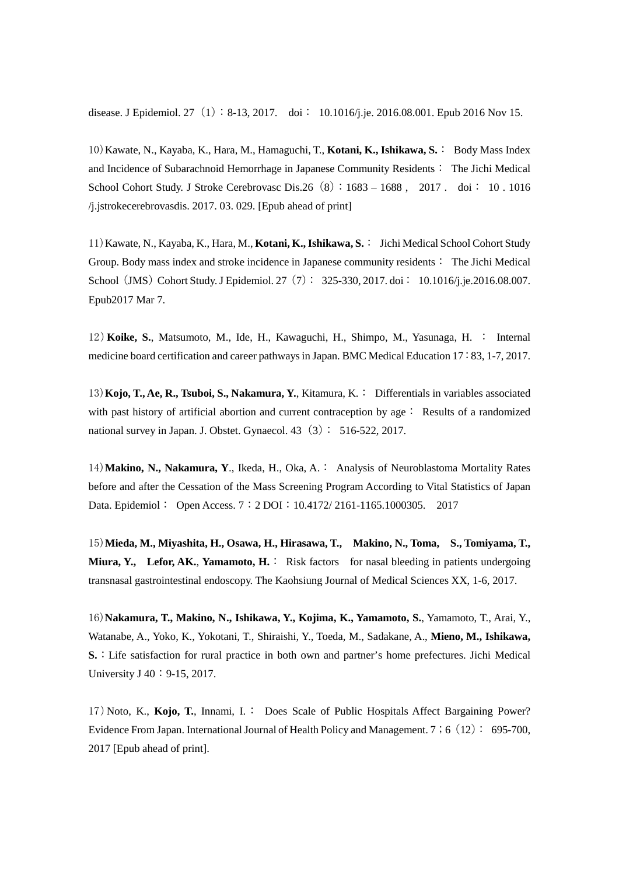disease. J Epidemiol. 27 (1): 8-13, 2017. doi: 10.1016/j.je. 2016.08.001. Epub 2016 Nov 15.

10)Kawate, N., Kayaba, K., Hara, M., Hamaguchi, T., **Kotani, K., Ishikawa, S.**: Body Mass Index and Incidence of Subarachnoid Hemorrhage in Japanese Community Residents: The Jichi Medical School Cohort Study. J Stroke Cerebrovasc Dis.26 (8): 1683 - 1688 , 2017 . doi: 10 . 1016 /j.jstrokecerebrovasdis. 2017. 03. 029. [Epub ahead of print]

11)Kawate, N., Kayaba, K., Hara, M., **Kotani, K., Ishikawa, S.** : Jichi Medical School Cohort Study Group. Body mass index and stroke incidence in Japanese community residents: The Jichi Medical School (JMS) Cohort Study. J Epidemiol. 27 (7): 325-330, 2017. doi: 10.1016/j.je.2016.08.007. Epub2017 Mar 7.

12)**Koike, S.**, Matsumoto, M., Ide, H., Kawaguchi, H., Shimpo, M., Yasunaga, H. : Internal medicine board certification and career pathways in Japan. BMC Medical Education 17:83, 1-7, 2017.

13)**Kojo, T., Ae, R., Tsuboi, S., Nakamura, Y.**, Kitamura, K.: Differentials in variables associated with past history of artificial abortion and current contraception by age: Results of a randomized national survey in Japan. J. Obstet. Gynaecol.  $43\left(3\right): 516-522, 2017$ .

14)**Makino, N., Nakamura, Y**., Ikeda, H., Oka, A.: Analysis of Neuroblastoma Mortality Rates before and after the Cessation of the Mass Screening Program According to Vital Statistics of Japan Data. Epidemiol: Open Access. 7: 2 DOI: 10.4172/ 2161-1165.1000305. 2017

15)**Mieda, M., Miyashita, H., Osawa, H., Hirasawa, T., Makino, N., Toma, S., Tomiyama, T., Miura, Y., Lefor, AK.**, **Yamamoto, H.**: Risk factors for nasal bleeding in patients undergoing transnasal gastrointestinal endoscopy. The Kaohsiung Journal of Medical Sciences XX, 1-6, 2017.

16)**Nakamura, T., Makino, N., Ishikawa, Y., Kojima, K., Yamamoto, S.**, Yamamoto, T., Arai, Y., Watanabe, A., Yoko, K., Yokotani, T., Shiraishi, Y., Toeda, M., Sadakane, A., **Mieno, M., Ishikawa, S.**:Life satisfaction for rural practice in both own and partner's home prefectures. Jichi Medical University J 40: 9-15, 2017.

17)Noto, K., **Kojo, T.**, Innami, I.: Does Scale of Public Hospitals Affect Bargaining Power? Evidence From Japan. International Journal of Health Policy and Management. 7; 6 (12): 695-700, 2017 [Epub ahead of print].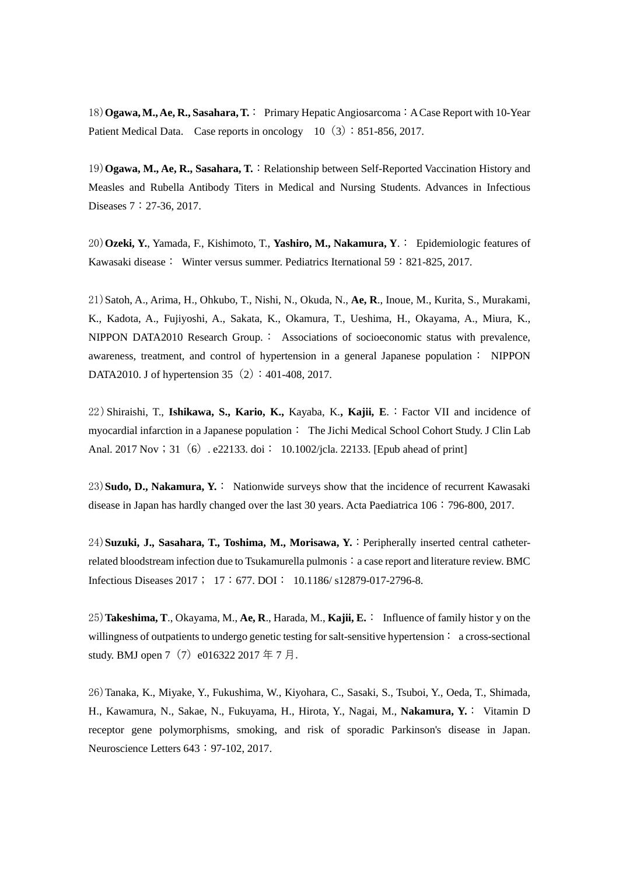18) **Ogawa, M., Ae, R., Sasahara, T.** : Primary Hepatic Angiosarcoma : A Case Report with 10-Year Patient Medical Data. Case reports in oncology  $10(3):851-856, 2017$ .

19) **Ogawa, M., Ae, R., Sasahara, T.**: Relationship between Self-Reported Vaccination History and Measles and Rubella Antibody Titers in Medical and Nursing Students. Advances in Infectious Diseases 7: 27-36, 2017.

20)**Ozeki, Y.**, Yamada, F., Kishimoto, T., **Yashiro, M., Nakamura, Y**.: Epidemiologic features of Kawasaki disease: Winter versus summer. Pediatrics Iternational 59:821-825, 2017.

21)Satoh, A., Arima, H., Ohkubo, T., Nishi, N., Okuda, N., **Ae, R**., Inoue, M., Kurita, S., Murakami, K., Kadota, A., Fujiyoshi, A., Sakata, K., Okamura, T., Ueshima, H., Okayama, A., Miura, K., NIPPON DATA2010 Research Group.: Associations of socioeconomic status with prevalence, awareness, treatment, and control of hypertension in a general Japanese population: NIPPON DATA2010. J of hypertension 35 $(2): 401-408, 2017$ .

22)Shiraishi, T., **Ishikawa, S., Kario, K.,** Kayaba, K.**, Kajii, E**.:Factor VII and incidence of myocardial infarction in a Japanese population: The Jichi Medical School Cohort Study. J Clin Lab Anal. 2017 Nov; 31 (6) . e22133. doi: 10.1002/jcla. 22133. [Epub ahead of print]

23)**Sudo, D., Nakamura, Y.**: Nationwide surveys show that the incidence of recurrent Kawasaki disease in Japan has hardly changed over the last 30 years. Acta Paediatrica 106:796-800, 2017.

24)**Suzuki, J., Sasahara, T., Toshima, M., Morisawa, Y.**:Peripherally inserted central catheterrelated bloodstream infection due to Tsukamurella pulmonis : a case report and literature review. BMC Infectious Diseases 2017; 17:677. DOI: 10.1186/ s12879-017-2796-8.

25)**Takeshima, T**., Okayama, M., **Ae, R**., Harada, M., **Kajii, E.**: Influence of family histor y on the willingness of outpatients to undergo genetic testing for salt-sensitive hypertension : a cross-sectional study. BMJ open 7 (7) e016322 2017 年 7 月.

26)Tanaka, K., Miyake, Y., Fukushima, W., Kiyohara, C., Sasaki, S., Tsuboi, Y., Oeda, T., Shimada, H., Kawamura, N., Sakae, N., Fukuyama, H., Hirota, Y., Nagai, M., **Nakamura, Y.**: Vitamin D receptor gene polymorphisms, smoking, and risk of sporadic Parkinson's disease in Japan. Neuroscience Letters 643: 97-102, 2017.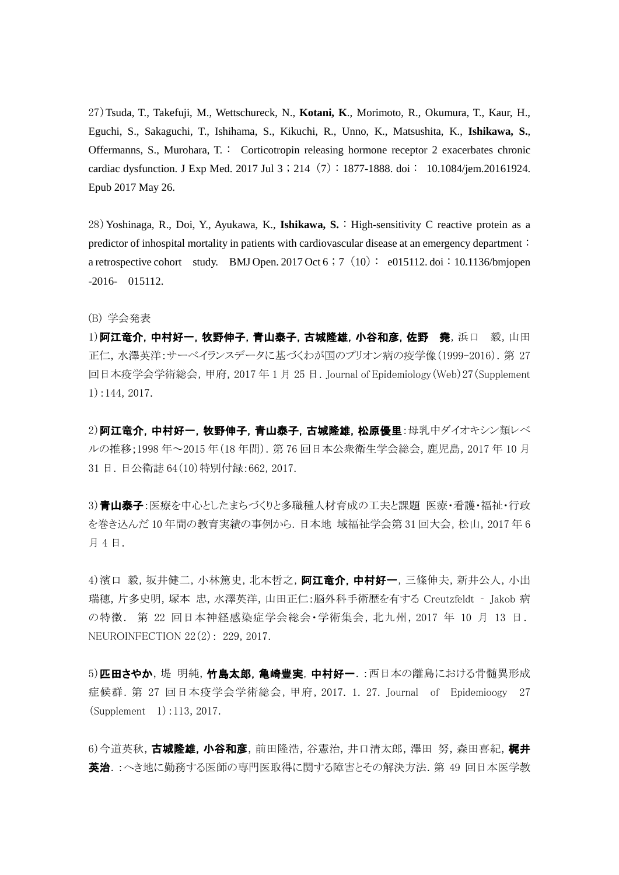27)Tsuda, T., Takefuji, M., Wettschureck, N., **Kotani, K**., Morimoto, R., Okumura, T., Kaur, H., Eguchi, S., Sakaguchi, T., Ishihama, S., Kikuchi, R., Unno, K., Matsushita, K., **Ishikawa, S.**, Offermanns, S., Murohara, T.: Corticotropin releasing hormone receptor 2 exacerbates chronic cardiac dysfunction. J Exp Med. 2017 Jul 3;214(7):1877-1888. doi: 10.1084/jem.20161924. Epub 2017 May 26.

28)Yoshinaga, R., Doi, Y., Ayukawa, K., **Ishikawa, S.**:High-sensitivity C reactive protein as a predictor of inhospital mortality in patients with cardiovascular disease at an emergency department: a retrospective cohort study. BMJ Open. 2017 Oct 6 ; 7 (10): e015112. doi: 10.1136/bmjopen -2016- 015112.

(B) 学会発表

1) 阿江竜介, 中村好一, 牧野伸子, 青山泰子, 古城隆雄, 小谷和彦, 佐野 堯, 浜口 毅, 山田 正仁,水澤英洋:サーベイランスデータに基づくわが国のプリオン病の疫学像(1999-2016).第 27 回日本疫学会学術総会,甲府,2017 年 1 月 25 日.Journal of Epidemiology(Web)27(Supplement 1):144, 2017.

2) 阿江竜介,中村好一,牧野伸子,青山泰子,古城隆雄,松原優里:母乳中ダイオキシン類レベ ルの推移;1998 年~2015 年(18 年間).第 76 回日本公衆衛生学会総会,鹿児島,2017 年 10 月 31 日.日公衛誌 64(10)特別付録:662, 2017.

3)青山泰子:医療を中心としたまちづくりと多職種人材育成の工夫と課題 医療・看護・福祉・行政 を巻き込んだ 10 年間の教育実績の事例から.日本地 域福祉学会第 31 回大会,松山,2017 年 6 月 4 日.

4) 濱口 毅, 坂井健二, 小林篤史, 北本哲之, 阿江竜介, 中村好一, 三條伸夫, 新井公人, 小出 瑞穂,片多史明,塚本 忠,水澤英洋,山田正仁:脳外科手術歴を有する Creutzfeldt ‐ Jakob 病 の特徴. 第 22 回日本神経感染症学会総会・学術集会,北九州,2017 年 10 月 13 日. NEUROINFECTION 22(2): 229, 2017.

5)匹田さやか,堤 明純, 竹島太郎, 亀崎豊実, 中村好一. :西日本の離島における骨髄異形成 症候群.第 27 回日本疫学会学術総会,甲府,2017. 1. 27. Journal of Epidemioogy 27 (Supplement 1):113, 2017.

6)今道英秋,古城隆雄,小谷和彦,前田隆浩,谷憲治,井口清太郎,澤田 努,森田喜紀,梶井 英治.:へき地に勤務する医師の専門医取得に関する障害とその解決方法.第 49 回日本医学教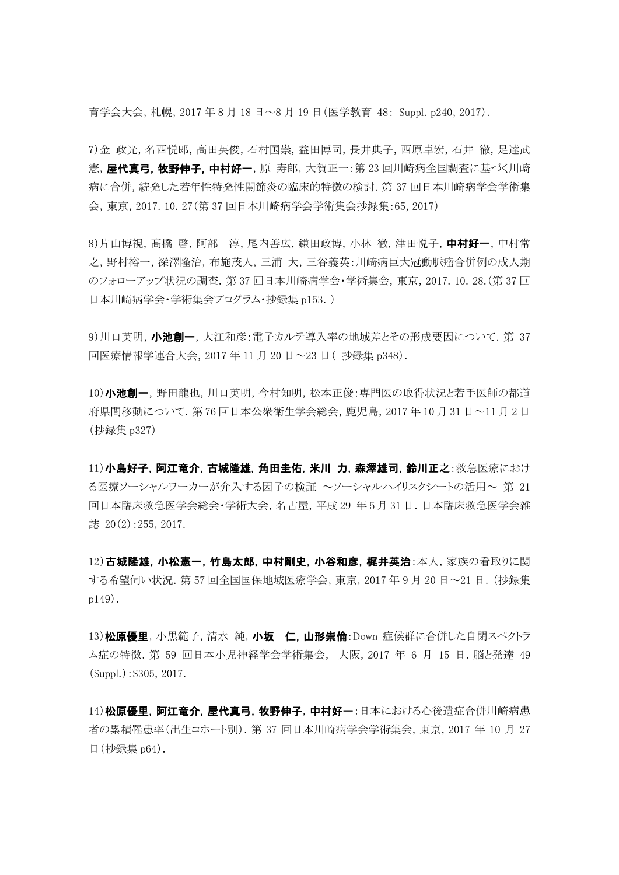育学会大会,札幌,2017 年 8 月 18 日~8 月 19 日(医学教育 48: Suppl. p240, 2017).

7)金 政光,名西悦郎,高田英俊,石村国崇,益田博司,長井典子,西原卓宏,石井 徹,足達武 憲, 屋代真弓, 牧野伸子, 中村好一, 原 寿郎, 大賀正一:第 23 回川崎病全国調査に基づく川崎 病に合併,続発した若年性特発性関節炎の臨床的特徴の検討.第 37 回日本川崎病学会学術集 会,東京,2017. 10. 27(第 37 回日本川崎病学会学術集会抄録集:65, 2017)

8)片山博視, 髙橋 啓, 阿部 淳, 尾内善広, 鎌田政博, 小林 徹, 津田悦子, 中村好一, 中村常 之,野村裕一,深澤隆治,布施茂人,三浦 大,三谷義英:川崎病巨大冠動脈瘤合併例の成人期 のフォローアップ状況の調査.第 37 回日本川崎病学会・学術集会,東京,2017. 10. 28.(第 37 回 日本川崎病学会・学術集会プログラム・抄録集 p153.)

9)川口英明,小池創一,大江和彦:電子カルテ導入率の地域差とその形成要因について. 第 37 回医療情報学連合大会,2017 年 11 月 20 日~23 日( 抄録集 p348).

10)小池創一,野田龍也,川口英明,今村知明,松本正俊:専門医の取得状況と若手医師の都道 府県間移動について.第 76 回日本公衆衛生学会総会,鹿児島,2017 年 10 月 31 日~11 月 2 日 (抄録集 p327)

11)小島好子,阿江竜介,古城隆雄,角田圭佑,米川 力,森澤雄司,鈴川正之:救急医療におけ る医療ソーシャルワーカーが介入する因子の検証 ~ソーシャルハイリスクシートの活用~ 第 21 回日本臨床救急医学会総会・学術大会,名古屋,平成 29 年 5 月 31 日.日本臨床救急医学会雑 誌  $20(2):255, 2017.$ 

12)古城隆雄,小松憲一,竹島太郎,中村剛史,小谷和彦,梶井英治:本人,家族の看取りに関 する希望伺い状況.第 57 回全国国保地域医療学会,東京,2017 年 9 月 20 日~21 日.(抄録集 p149).

13) 松原優里, 小黒範子, 清水 純, 小坂 仁, 山形崇倫:Down 症候群に合併した自閉スペクトラ ム症の特徴.第 59 回日本小児神経学会学術集会, 大阪,2017 年 6 月 15 日.脳と発達 49 (Suppl.):S305, 2017.

14) 松原優里, 阿江竜介, 屋代真弓, 牧野伸子, 中村好一:日本における心後遺症合併川崎病患 者の累積罹患率(出生コホート別).第 37 回日本川崎病学会学術集会,東京,2017 年 10 月 27 日(抄録集 p64).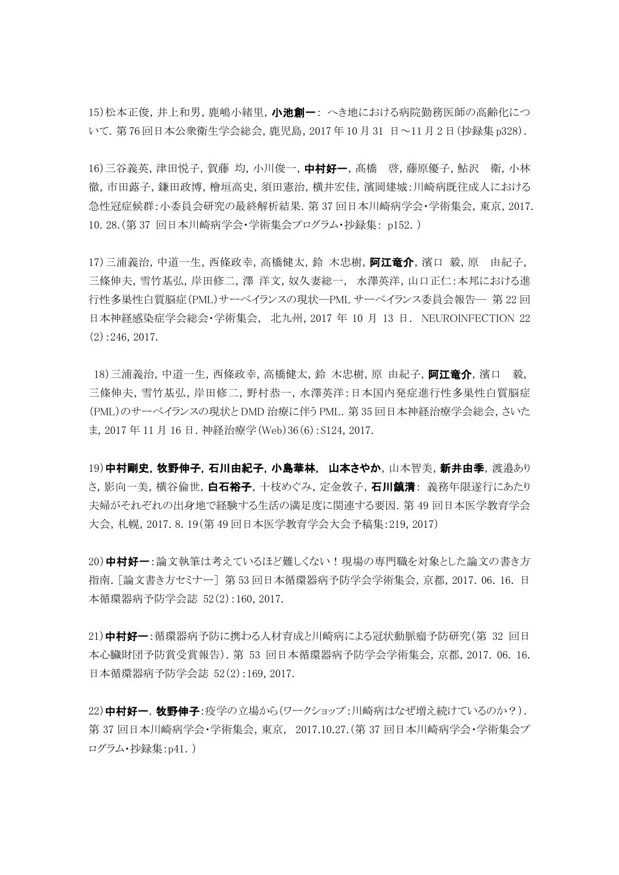15)松本正俊,井上和男,鹿嶋小緒里,小池創一: へき地における病院勤務医師の高齢化につ いて.第 76 回日本公衆衛生学会総会,鹿児島,2017 年 10 月 31 日~11 月 2 日(抄録集 p328).

16)三谷義英,津田悦子,賀藤均,小川俊一,中村好一,髙橋 啓,藤原優子,鮎沢 衛,小林 徹,市田蕗子,鎌田政博,檜垣高史,須田憲治,横井宏佳,濱岡建城:川崎病既往成人における 急性冠症候群:小委員会研究の最終解析結果.第 37 回日本川崎病学会・学術集会,東京,2017. 10. 28.(第 37 回日本川崎病学会・学術集会プログラム・抄録集: p152.)

17)三浦義治, 中道一生, 西條政幸, 高橋健太, 鈴 木忠樹, **阿江竜介**, 濱口 毅, 原 由紀子, 三條伸夫,雪竹基弘,岸田修二,澤洋文,奴久妻総一, 水澤英洋,山口正仁:本邦における進 行性多巣性白質脳症(PML)サーベイランスの現状―PML サーベイランス委員会報告― 第 22 回 日本神経感染症学会総会・学術集会, 北九州,2017 年 10 月 13 日. NEUROINFECTION 22 (2):246, 2017.

18)三浦義治,中道一生,西條政幸,高橋健太,鈴 木忠樹,原 由紀子,阿江竜介,濱口 毅, 三條伸夫,雪竹基弘,岸田修二,野村恭一,水澤英洋:日本国内発症進行性多巣性白質脳症 (PML)のサーベイランスの現状と DMD 治療に伴う PML. 第 35 回日本神経治療学会総会, さいた ま, 2017 年 11 月 16 日. 神経治療学 (Web) 36 (6) : S124, 2017.

19)中村剛史,牧野伸子,石川由紀子,小島華林,山本さやか,山本智美,新井由季,渡邉あり さ、影向一美、横谷倫世、白石裕子、十枝めぐみ、定金敦子、石川鎮清:義務年限遂行にあたり 夫婦がそれぞれの出身地で経験する生活の満足度に関連する要因.第 49 回日本医学教育学会 大会,札幌,2017. 8. 19(第 49 回日本医学教育学会大会予稿集:219, 2017)

20)中村好一:論文執筆は考えているほど難しくない!現場の専門職を対象とした論文の書き方 指南.[論文書き方セミナー] 第 53 回日本循環器病予防学会学術集会,京都,2017. 06. 16. 日 本循環器病予防学会誌 52(2):160, 2017.

21)中村好一:循環器病予防に携わる人材育成と川崎病による冠状動脈瘤予防研究(第 32 回日 本心臓財団予防賞受賞報告).第 53 回日本循環器病予防学会学術集会,京都,2017. 06. 16. 日本循環器病予防学会誌 52(2):169, 2017.

22)中村好一,牧野伸子:疫学の立場から(ワークショップ:川崎病はなぜ増え続けているのか?). 第 37 回日本川崎病学会・学術集会,東京, 2017.10.27.(第 37 回日本川崎病学会・学術集会プ ログラム・抄録集:p41.)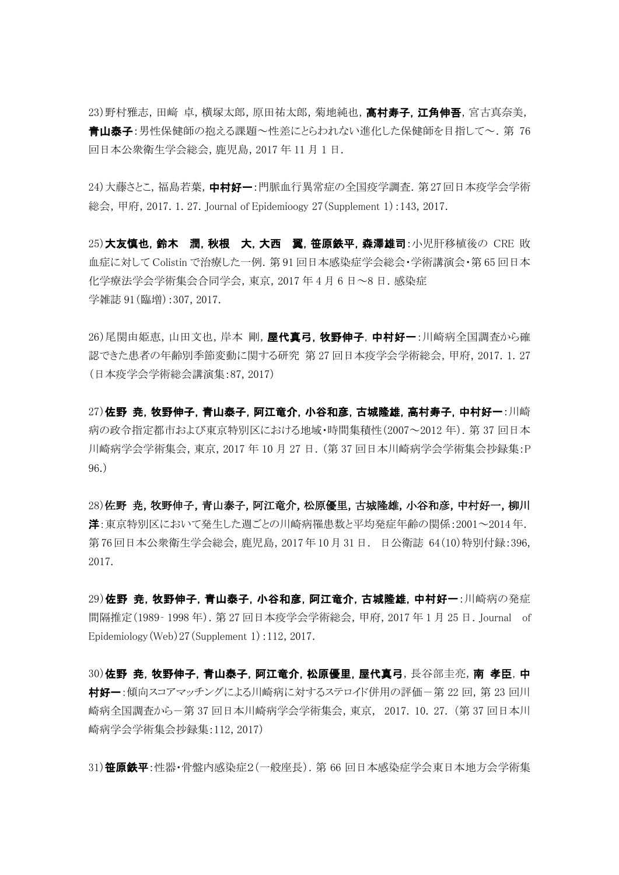23)野村雅志,田﨑 卓,横塚太郎,原田祐太郎,菊地純也,**高村寿子,江角伸吾**,宮古真奈美, 青山泰子:男性保健師の抱える課題~性差にとらわれない進化した保健師を目指して~.第 76 回日本公衆衛生学会総会,鹿児島,2017 年 11 月 1 日.

24)大藤さとこ,福島若葉,中村好一:門脈血行異常症の全国疫学調査. 第27回日本疫学会学術 総会,甲府,2017. 1. 27. Journal of Epidemioogy 27(Supplement 1):143, 2017.

25)大友慎也,鈴木 潤,秋根 大,大西 翼,笹原鉄平,森澤雄司:小児肝移植後の CRE 敗 血症に対して Colistin で治療した一例.第 91 回日本感染症学会総会・学術講演会・第 65 回日本 化学療法学会学術集会合同学会,東京,2017 年 4 月 6 日~8 日.感染症 学雑誌 91(臨増):307, 2017.

26)尾関由姫恵,山田文也,岸本 剛,**屋代真弓,牧野伸子,中村好一**:川崎病全国調査から確 認できた患者の年齢別季節変動に関する研究 第 27 回日本疫学会学術総会,甲府,2017. 1. 27 (日本疫学会学術総会講演集:87, 2017)

27)佐野 尭,牧野伸子,青山泰子,阿江竜介,小谷和彦,古城隆雄,高村寿子,中村好一:川崎 病の政令指定都市および東京特別区における地域・時間集積性(2007~2012年). 第37回日本 川崎病学会学術集会,東京,2017 年 10 月 27 日.(第 37 回日本川崎病学会学術集会抄録集:P 96.)

28)佐野 尭,牧野伸子,青山泰子,阿江竜介,松原優里,古城隆雄,小谷和彦,中村好一,柳川 洋:東京特別区において発生した週ごとの川崎病罹患数と平均発症年齢の関係:2001~2014 年. 第 76回日本公衆衛生学会総会,鹿児島,2017年 10月 31日. 日公衛誌 64(10)特別付録:396, 2017.

29)佐野 尭,牧野伸子,青山泰子,小谷和彦,阿江竜介,古城隆雄,中村好一:川崎病の発症 間隔推定(1989‐ 1998 年).第 27 回日本疫学会学術総会,甲府,2017 年 1 月 25 日.Journal of Epidemiology(Web)27(Supplement 1):112, 2017.

30)佐野 尭,牧野伸子,青山泰子,阿江竜介,松原優里,屋代真弓,長谷部圭亮,南 孝臣,中 村好一:傾向スコアマッチングによる川崎病に対するステロイド併用の評価-第 22 回, 第 23 回川 崎病全国調査から-第 37 回日本川崎病学会学術集会,東京, 2017. 10. 27. (第 37 回日本川 崎病学会学術集会抄録集:112, 2017)

31) 笹原鉄平:性器・骨盤内感染症2(一般座長). 第 66 回日本感染症学会東日本地方会学術集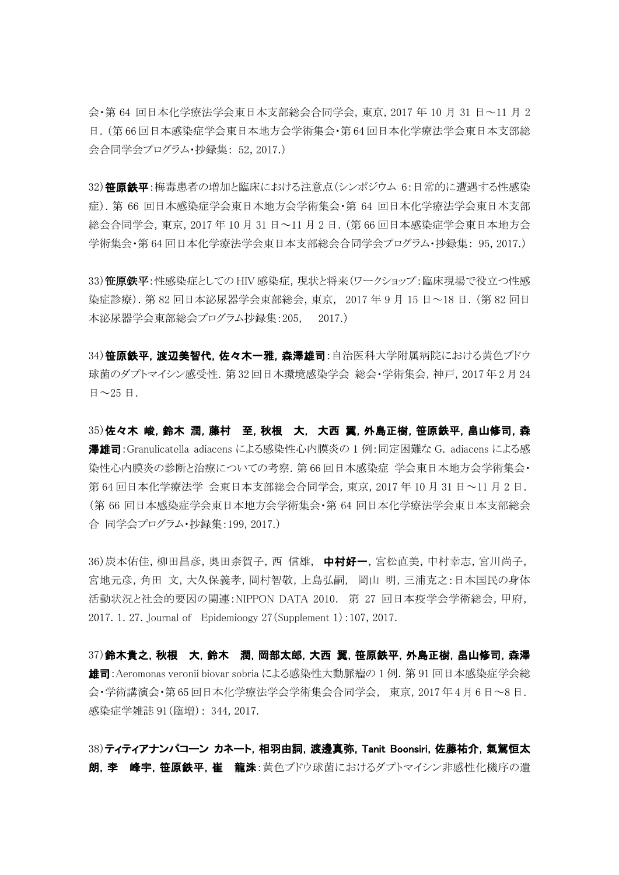会・第 64 回日本化学療法学会東日本支部総会合同学会,東京,2017 年 10 月 31 日~11 月 2 日.(第 66 回日本感染症学会東日本地方会学術集会・第 64 回日本化学療法学会東日本支部総 会合同学会プログラム・抄録集: 52, 2017.)

32) 笹原鉄平:梅毒患者の増加と臨床における注意点(シンポジウム 6:日常的に遭遇する性感染 症).第 66 回日本感染症学会東日本地方会学術集会・第 64 回日本化学療法学会東日本支部 総会合同学会,東京,2017 年 10 月 31 日~11 月 2 日.(第 66 回日本感染症学会東日本地方会 学術集会・第 64 回日本化学療法学会東日本支部総会合同学会プログラム・抄録集: 95, 2017.)

33) 笹原鉄平:性感染症としての HIV 感染症, 現状と将来(ワークショップ:臨床現場で役立つ性感 染症診療).第 82 回日本泌尿器学会東部総会,東京, 2017 年 9 月 15 日~18 日.(第 82 回日 本泌尿器学会東部総会プログラム抄録集:205, 2017.)

34) **笹原鉄平, 渡辺美智代, 佐々木一雅, 森澤雄司**:自治医科大学附属病院における黄色ブドウ 球菌のダプトマイシン感受性.第 32 回日本環境感染学会 総会・学術集会,神戸,2017 年 2 月 24 日 $\sim$  25 日.

35)佐々木 峻,鈴木 潤,藤村 至,秋根 大, 大西 翼,外島正樹,笹原鉄平,畠山修司,森 澤雄司:Granulicatella adiacens による感染性心内膜炎の 1 例:同定困難な G. adiacens による感 染性心内膜炎の診断と治療についての考察.第 66 回日本感染症 学会東日本地方会学術集会・ 第 64 回日本化学療法学 会東日本支部総会合同学会,東京,2017 年 10 月 31 日~11 月 2 日. (第 66 回日本感染症学会東日本地方会学術集会・第 64 回日本化学療法学会東日本支部総会 合 同学会プログラム・抄録集:199, 2017.)

36)炭本佑佳,柳田昌彦, 奥田柰賀子, 西信雄, 中村好一, 宮松直美, 中村幸志, 宮川尚子, 宮地元彦,角田 文,大久保義孝,岡村智敬,上島弘嗣, 岡山 明,三浦克之:日本国民の身体 活動状況と社会的要因の関連:NIPPON DATA 2010. 第 27 回日本疫学会学術総会,甲府, 2017. 1. 27. Journal of Epidemioogy 27(Supplement 1):107, 2017.

37)鈴木貴之,秋根 大,鈴木 潤,岡部太郎,大西 翼,笹原鉄平,外島正樹,畠山修司,森澤 雄司:Aeromonas veronii biovar sobria による感染性大動脈瘤の 1 例.第 91 回日本感染症学会総 会・学術講演会・第 65 回日本化学療法学会学術集会合同学会, 東京,2017 年 4 月 6 日~8 日. 感染症学雑誌 91(臨増): 344, 2017.

38)ティティアナンパコーン カネート,相羽由詞,渡邊真弥,Tanit Boonsiri,佐藤祐介,氣駕恒太 朗,李 峰宇,笹原鉄平,崔 龍洙:黄色ブドウ球菌におけるダプトマイシン非感性化機序の遺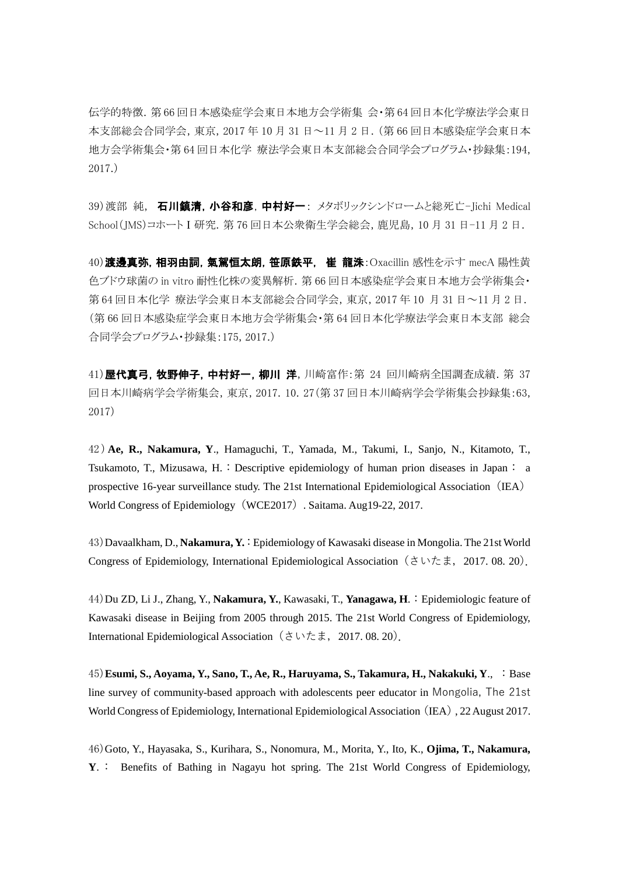伝学的特徴.第 66 回日本感染症学会東日本地方会学術集 会・第 64 回日本化学療法学会東日 本支部総会合同学会,東京,2017 年 10 月 31 日~11 月 2 日.(第 66 回日本感染症学会東日本 地方会学術集会・第 64 回日本化学 療法学会東日本支部総会合同学会プログラム・抄録集:194, 2017.)

39)渡部 純, 石川鎮清,小谷和彦,中村好一: メタボリックシンドロームと総死亡-Jichi Medical School(JMS)コホートⅠ研究.第 76 回日本公衆衛生学会総会,鹿児島,10 月 31 日-11 月 2 日.

40) 渡邊真弥, 相羽由詞, 氣駕恒太朗, 笹原鉄平, 崔 龍洙: Oxacillin 感性を示す mecA 陽性黄 色ブドウ球菌の in vitro 耐性化株の変異解析.第 66 回日本感染症学会東日本地方会学術集会・ 第 64 回日本化学 療法学会東日本支部総会合同学会,東京,2017 年 10 月 31 日~11 月 2 日. (第 66 回日本感染症学会東日本地方会学術集会・第 64 回日本化学療法学会東日本支部 総会 合同学会プログラム・抄録集:175, 2017.)

41)屋代真弓,牧野伸子,中村好一,柳川 洋,川崎富作:第 24 回川崎病全国調査成績. 第 37 回日本川崎病学会学術集会,東京,2017. 10. 27(第 37 回日本川崎病学会学術集会抄録集:63, 2017)

42 )**Ae, R., Nakamura, Y**., Hamaguchi, T., Yamada, M., Takumi, I., Sanjo, N., Kitamoto, T., Tsukamoto, T., Mizusawa, H.: Descriptive epidemiology of human prion diseases in Japan: a prospective 16-year surveillance study. The 21st International Epidemiological Association (IEA) World Congress of Epidemiology (WCE2017). Saitama. Aug19-22, 2017.

43)Davaalkham, D., **Nakamura, Y.** :Epidemiology of Kawasaki disease in Mongolia. The 21st World Congress of Epidemiology, International Epidemiological Association (さいたま, 2017. 08. 20).

44)Du ZD, Li J., Zhang, Y., **Nakamura, Y.**, Kawasaki, T., **Yanagawa, H**.:Epidemiologic feature of Kawasaki disease in Beijing from 2005 through 2015. The 21st World Congress of Epidemiology, International Epidemiological Association(さいたま,2017. 08. 20).

45)**Esumi, S., Aoyama, Y., Sano, T., Ae, R., Haruyama, S., Takamura, H., Nakakuki, Y**., :Base line survey of community-based approach with adolescents peer educator in Mongolia, The 21st World Congress of Epidemiology, International Epidemiological Association (IEA), 22 August 2017.

46)Goto, Y., Hayasaka, S., Kurihara, S., Nonomura, M., Morita, Y., Ito, K., **Ojima, T., Nakamura, Y**.: Benefits of Bathing in Nagayu hot spring. The 21st World Congress of Epidemiology,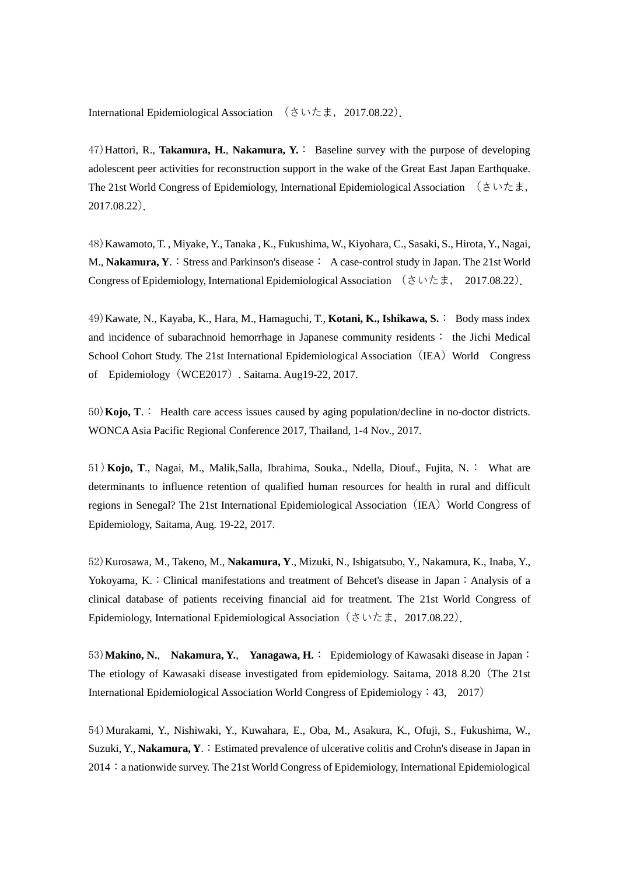International Epidemiological Association (さいたま,2017.08.22).

47)Hattori, R., **Takamura, H.**, **Nakamura, Y.**: Baseline survey with the purpose of developing adolescent peer activities for reconstruction support in the wake of the Great East Japan Earthquake. The 21st World Congress of Epidemiology, International Epidemiological Association (さいたま, 2017.08.22).

48)Kawamoto, T. , Miyake, Y., Tanaka , K., Fukushima, W., Kiyohara, C., Sasaki, S., Hirota, Y., Nagai, M., **Nakamura, Y.:** Stress and Parkinson's disease: A case-control study in Japan. The 21st World Congress of Epidemiology, International Epidemiological Association  $(3 \vee \uparrow \pm, 2017.08.22)$ .

49)Kawate, N., Kayaba, K., Hara, M., Hamaguchi, T., **Kotani, K., Ishikawa, S.**: Body mass index and incidence of subarachnoid hemorrhage in Japanese community residents: the Jichi Medical School Cohort Study. The 21st International Epidemiological Association (IEA) World Congress of Epidemiology(WCE2017). Saitama. Aug19-22, 2017.

50)**Kojo, T**.: Health care access issues caused by aging population/decline in no-doctor districts. WONCA Asia Pacific Regional Conference 2017, Thailand, 1-4 Nov., 2017.

51)**Kojo, T**., Nagai, M., Malik,Salla, Ibrahima, Souka., Ndella, Diouf., Fujita, N.: What are determinants to influence retention of qualified human resources for health in rural and difficult regions in Senegal? The 21st International Epidemiological Association (IEA) World Congress of Epidemiology, Saitama, Aug. 19-22, 2017.

52)Kurosawa, M., Takeno, M., **Nakamura, Y**., Mizuki, N., Ishigatsubo, Y., Nakamura, K., Inaba, Y., Yokoyama, K.: Clinical manifestations and treatment of Behcet's disease in Japan: Analysis of a clinical database of patients receiving financial aid for treatment. The 21st World Congress of Epidemiology, International Epidemiological Association(さいたま,2017.08.22).

53)**Makino, N.**, **Nakamura, Y.**, **Yanagawa, H.**: Epidemiology of Kawasaki disease in Japan: The etiology of Kawasaki disease investigated from epidemiology. Saitama, 2018 8.20(The 21st International Epidemiological Association World Congress of Epidemiology: 43, 2017)

54)Murakami, Y., Nishiwaki, Y., Kuwahara, E., Oba, M., Asakura, K., Ofuji, S., Fukushima, W., Suzuki, Y., **Nakamura, Y.**: Estimated prevalence of ulcerative colitis and Crohn's disease in Japan in 2014: a nationwide survey. The 21st World Congress of Epidemiology, International Epidemiological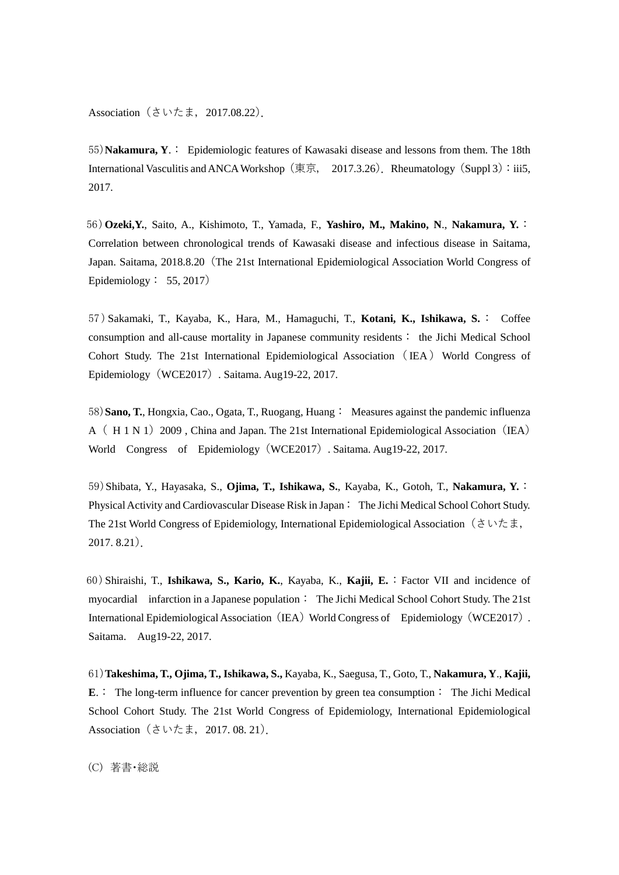Association(さいたま,2017.08.22).

55)**Nakamura, Y**.: Epidemiologic features of Kawasaki disease and lessons from them. The 18th International Vasculitis and ANCA Workshop (東京, 2017.3.26). Rheumatology (Suppl 3): iii5, 2017.

56)**Ozeki,Y.**, Saito, A., Kishimoto, T., Yamada, F., **Yashiro, M., Makino, N**., **Nakamura, Y.**: Correlation between chronological trends of Kawasaki disease and infectious disease in Saitama, Japan. Saitama, 2018.8.20(The 21st International Epidemiological Association World Congress of Epidemiology: 55, 2017)

57 )Sakamaki, T., Kayaba, K., Hara, M., Hamaguchi, T., **Kotani, K., Ishikawa, S.**: Coffee consumption and all-cause mortality in Japanese community residents: the Jichi Medical School Cohort Study. The 21st International Epidemiological Association (IEA) World Congress of Epidemiology(WCE2017). Saitama. Aug19-22, 2017.

58)**Sano, T.**, Hongxia, Cao., Ogata, T., Ruogang, Huang: Measures against the pandemic influenza A (H 1 N 1) 2009, China and Japan. The 21st International Epidemiological Association (IEA) World Congress of Epidemiology (WCE2017) . Saitama. Aug19-22, 2017.

59)Shibata, Y., Hayasaka, S., **Ojima, T., Ishikawa, S.**, Kayaba, K., Gotoh, T., **Nakamura, Y.**: Physical Activity and Cardiovascular Disease Risk in Japan : The Jichi Medical School Cohort Study. The 21st World Congress of Epidemiology, International Epidemiological Association(さいたま, 2017. 8.21).

60)Shiraishi, T., **Ishikawa, S., Kario, K.**, Kayaba, K., **Kajii, E.**:Factor VII and incidence of myocardial infarction in a Japanese population: The Jichi Medical School Cohort Study. The 21st International Epidemiological Association (IEA) World Congress of Epidemiology (WCE2017). Saitama. Aug19-22, 2017.

61)**Takeshima, T., Ojima, T., Ishikawa, S.,** Kayaba, K., Saegusa, T., Goto, T., **Nakamura, Y**., **Kajii, E**.: The long-term influence for cancer prevention by green tea consumption: The Jichi Medical School Cohort Study. The 21st World Congress of Epidemiology, International Epidemiological Association(さいたま,2017. 08. 21).

(C) 著書・総説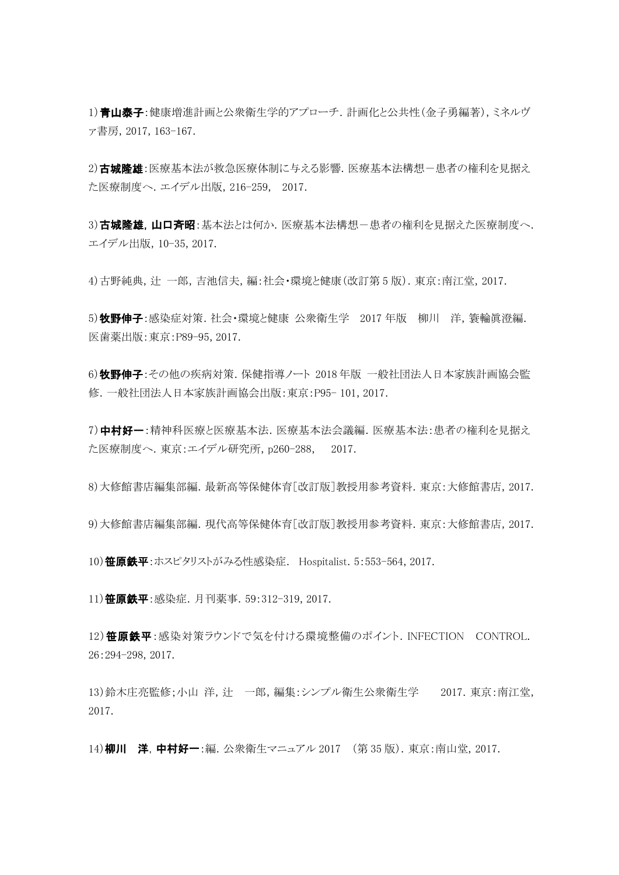1) 青山泰子:健康増進計画と公衆衛生学的アプローチ.計画化と公共性(金子勇編著),ミネルヴ ァ書房,2017, 163-167.

2) 古城隆雄: 医療基本法が救急医療体制に与える影響. 医療基本法構想-患者の権利を見据え た医療制度へ.エイデル出版,216-259, 2017.

3)古城降雄,山口斉昭:基本法とは何か.医療基本法構想-患者の権利を見据えた医療制度へ. エイデル出版,10-35, 2017.

4)古野純典,辻 一郎,吉池信夫,編:社会・環境と健康(改訂第 5 版).東京:南江堂,2017.

5)牧野伸子:感染症対策. 社会・環境と健康 公衆衛生学 2017 年版 柳川 洋, 簑輪眞澄編. 医歯薬出版:東京:P89-95, 2017.

6)牧野伸子:その他の疾病対策. 保健指導ノート 2018年版 一般社団法人日本家族計画協会監 修.一般社団法人日本家族計画協会出版:東京:P95- 101, 2017.

7)中村好一:精神科医療と医療基本法.医療基本法会議編.医療基本法:患者の権利を見据え た医療制度へ.東京:エイデル研究所,p260-288, 2017.

8)大修館書店編集部編.最新高等保健体育[改訂版]教授用参考資料.東京:大修館書店,2017.

9)大修館書店編集部編.現代高等保健体育[改訂版]教授用参考資料.東京:大修館書店,2017.

10) 笹原鉄平:ホスピタリストがみる性感染症. Hospitalist. 5:553-564, 2017.

11) 笹原鉄平:感染症. 月刊薬事. 59:312-319, 2017.

12)笹原鉄平:感染対策ラウンドで気を付ける環境整備のポイント. INFECTION CONTROL. 26:294-298, 2017.

13)鈴木庄亮監修;小山 洋, 辻 一郎, 編集:シンプル衛生公衆衛生学 2017. 東京:南江堂, 2017.

14) 柳川 洋, 中村好一:編. 公衆衛生マニュアル 2017 (第35版). 東京:南山堂, 2017.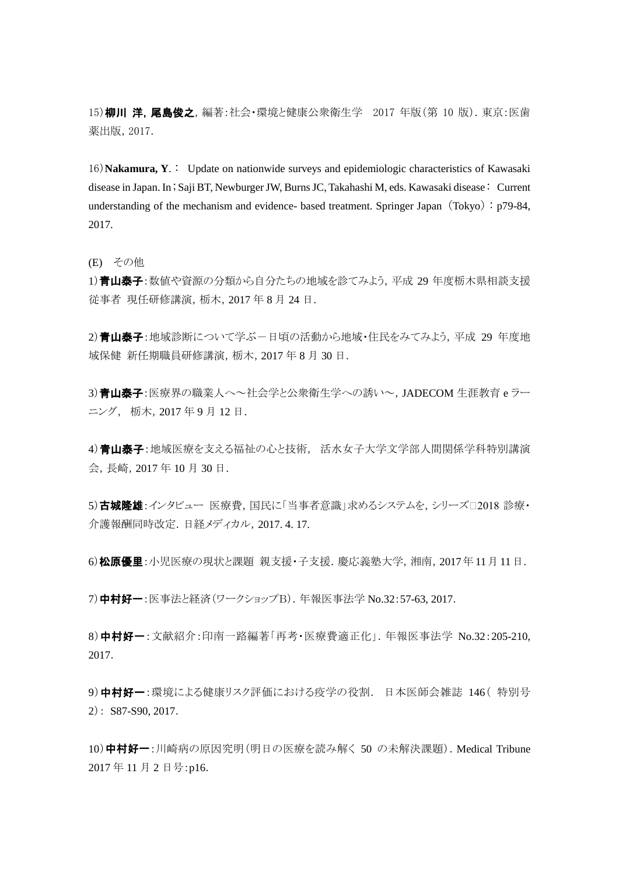15)柳川 洋,尾島俊之,編著:社会·環境と健康公衆衛生学 2017 年版(第 10 版). 東京:医歯 薬出版,2017.

16)**Nakamura, Y**.: Update on nationwide surveys and epidemiologic characteristics of Kawasaki disease in Japan. In ;Saji BT, Newburger JW, Burns JC, Takahashi M, eds. Kawasaki disease : Current understanding of the mechanism and evidence- based treatment. Springer Japan (Tokyo):  $p79-84$ , 2017.

(E) その他

1) 青山泰子:数値や資源の分類から自分たちの地域を診てみよう,平成 29 年度栃木県相談支援 従事者 現任研修講演,栃木,2017 年 8 月 24 日.

2)青山泰子:地域診断について学ぶー日頃の活動から地域・住民をみてみよう,平成 29 年度地 域保健 新任期職員研修講演,栃木,2017 年 8 月 30 日.

3) 青山泰子:医療界の職業人へ~社会学と公衆衛生学への誘い~, JADECOM 生涯教育 e ラー ニング, 栃木,2017 年 9 月 12 日.

4)青山泰子:地域医療を支える福祉の心と技術, 活水女子大学文学部人間関係学科特別講演 会,長崎,2017 年 10 月 30 日.

5)古城隆雄:インタビュー 医療費,国民に「当事者意識」求めるシステムを,シリーズ□2018 診療・ 介護報酬同時改定.日経メディカル,2017. 4. 17.

6)松原優里:小児医療の現状と課題 親支援・子支援. 慶応義塾大学, 湘南, 2017年11月11日.

7)中村好一:医事法と経済(ワークショップB).年報医事法学 No.32:57-63, 2017.

8)中村好一:文献紹介:印南一路編著「再考・医療費適正化」.年報医事法学 No.32:205-210, 2017.

9)中村好一:環境による健康リスク評価における疫学の役割. 日本医師会雑誌 146(特別号 2): S87-S90, 2017.

10)中村好一:川崎病の原因究明(明日の医療を読み解く 50 の未解決課題). Medical Tribune 2017 年 11 月 2 日号:p16.